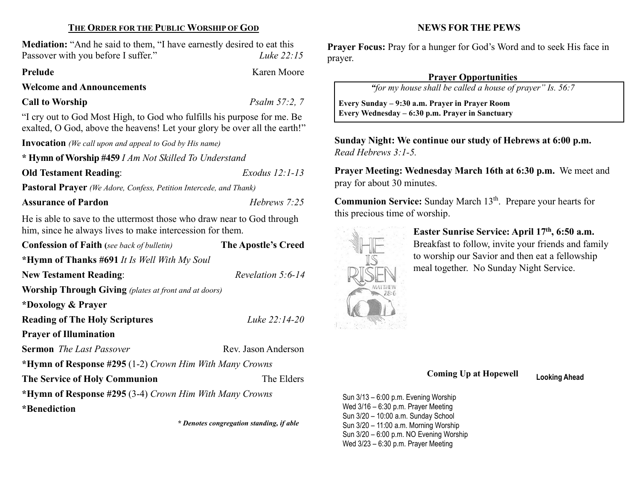### THE ORDER FOR THE PUBLIC WORSHIP OF GOD

Mediation: "And he said to them, "I have earnestly desired to eat this Passover with you before I suffer." Luke 22:15

#### Prelude Karen Moore

Welcome and Announcements

Call to Worship Psalm 57:2, 7

"I cry out to God Most High, to God who fulfills his purpose for me. Be exalted, O God, above the heavens! Let your glory be over all the earth!"

Invocation (We call upon and appeal to God by His name)

\* Hymn of Worship #459 I Am Not Skilled To Understand

Old Testament Reading: Exodus 12:1-13

Pastoral Prayer (We Adore, Confess, Petition Intercede, and Thank)

Assurance of Pardon **Hebrews** 7:25

He is able to save to the uttermost those who draw near to God through him, since he always lives to make intercession for them.

| <b>Confession of Faith</b> (see back of bulletin)            | The Apostle's Creed  |  |  |  |
|--------------------------------------------------------------|----------------------|--|--|--|
| *Hymn of Thanks #691 It Is Well With My Soul                 |                      |  |  |  |
| <b>New Testament Reading:</b>                                | Revelation $5:6$ -14 |  |  |  |
| <b>Worship Through Giving</b> (plates at front and at doors) |                      |  |  |  |
| *Doxology & Prayer                                           |                      |  |  |  |
| <b>Reading of The Holy Scriptures</b>                        | Luke 22:14-20        |  |  |  |
| <b>Prayer of Illumination</b>                                |                      |  |  |  |
| <b>Sermon</b> The Last Passover                              | Rev. Jason Anderson  |  |  |  |
| *Hymn of Response #295 (1-2) Crown Him With Many Crowns      |                      |  |  |  |
| The Elders<br><b>The Service of Holy Communion</b>           |                      |  |  |  |
| *Hymn of Response #295 (3-4) Crown Him With Many Crowns      |                      |  |  |  |
| *Benediction                                                 |                      |  |  |  |

\* Denotes congregation standing, if able

#### NEWS FOR THE PEWS

Prayer Focus: Pray for a hunger for God's Word and to seek His face in prayer.

## Prayer Opportunities

"for my house shall be called a house of prayer" Is. 56:7

 Every Sunday – 9:30 a.m. Prayer in Prayer Room Every Wednesday – 6:30 p.m. Prayer in Sanctuary

Sunday Night: We continue our study of Hebrews at 6:00 p.m. Read Hebrews 3:1-5.

Prayer Meeting: Wednesday March 16th at 6:30 p.m. We meet and pray for about 30 minutes.

Communion Service: Sunday March 13<sup>th</sup>. Prepare your hearts for this precious time of worship.



 $\overline{\phantom{a}}$ 

Easter Sunrise Service: April 17th, 6:50 a.m. Breakfast to follow, invite your friends and family to worship our Savior and then eat a fellowship meal together. No Sunday Night Service.

## Coming Up at Hopewell Looking Ahead

Sun 3/13 – 6:00 p.m. Evening Worship Wed 3/16 – 6:30 p.m. Prayer Meeting Sun 3/20 – 10:00 a.m. Sunday School Sun 3/20 – 11:00 a.m. Morning Worship Sun 3/20 – 6:00 p.m. NO Evening Worship Wed 3/23 – 6:30 p.m. Prayer Meeting